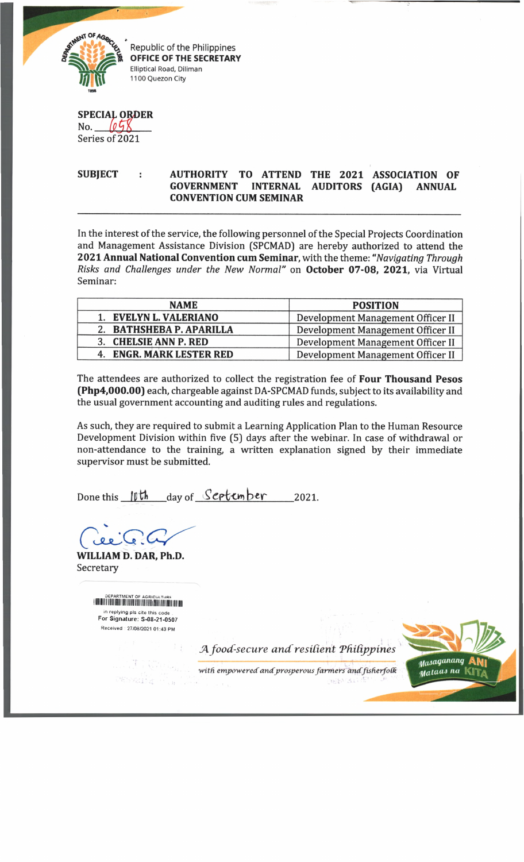

Republic of the Philippines **OFFICE OF THE SECRETARY** Elliptical Road, Diliman 1100 Quezon City

SPECIAL ORDER No.  $658$ 

Series of 2021

## SUBJECT : AUTHORITY TO ATTEND THE 2021 ASSOCIATION OF **GOVERNMENT INTERNAL AUDITORS (AGIA) ANNUAL CONVENTION CUM SEMINAR**

In the interest of the service, the following personnel of the Special Projects Coordination and Management Assistance Division (SPCMAD) are hereby authorized to attend the 2021 Annual National Convention cum Seminar, with the theme: "Navigating Through *Risks and Challenges under the New Normal"* on October 07-08, 2021, via Virtual Seminar:

| <b>NAME</b>              | <b>POSITION</b>                   |
|--------------------------|-----------------------------------|
| 1. EVELYN L. VALERIANO   | Development Management Officer II |
| 2. BATHSHEBA P. APARILLA | Development Management Officer II |
| 3. CHELSIE ANN P. RED    | Development Management Officer II |
| 4. ENGR. MARK LESTER RED | Development Management Officer II |

The attendees are authorized to collect the registration fee of **Four Thousand Pesos (Php4,000.00)** each, chargeable against DA-SPCMAD funds, subject to its availability and the usual government accounting and auditing rules and regulations.

As such, they are required to submit a Learning Application Plan to the Human Resource Development Division within five [5) days after the webinar. In case of withdrawal or non-attendance to the training, a written explanation signed by their immediate supervisor must be submitted.

Done this  $10th$  day of *Scriember* 2021.

نعفره کا

WILLIAM D. DAR, Ph.D. Secretary

> DEPARTMENT OF AGRICULTURE in replying pis cite th is code . For Signature. S-08-21-0507 Received : 27/08/2021 01:43 PM

> > J4 *food-secure and'resident Tfiidpjpines*



with empowered and prosperous farmers and fisherfolk **JEBI SA**